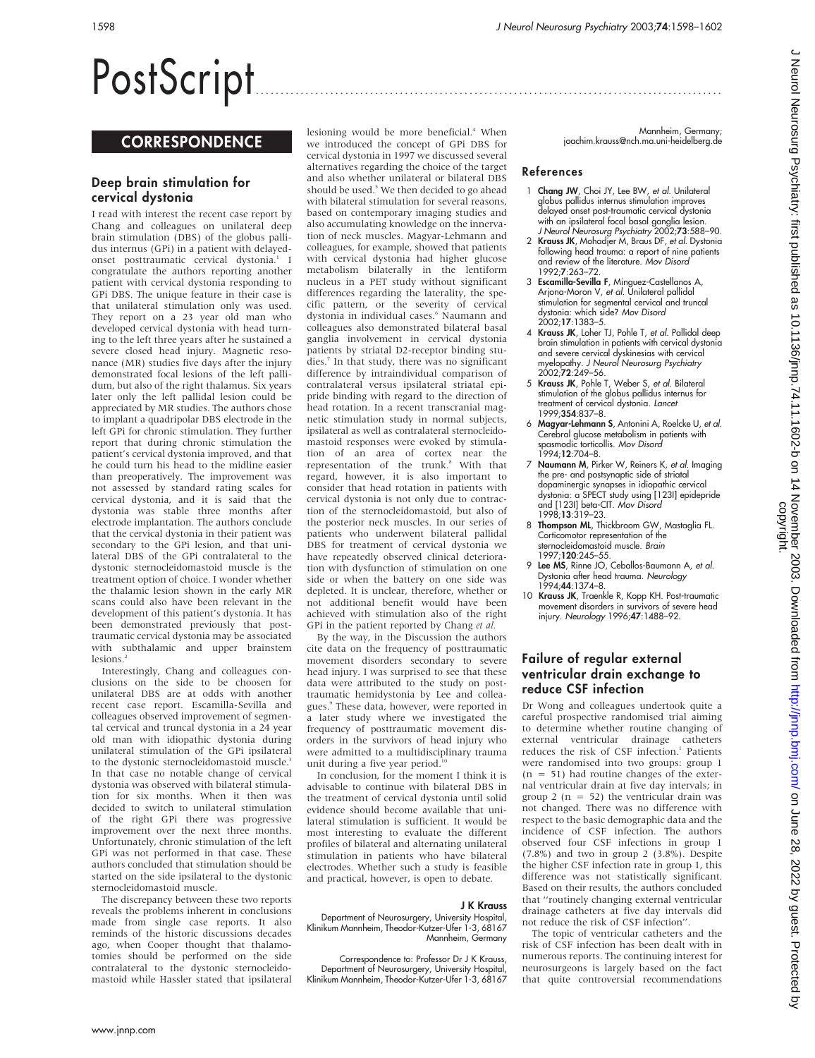# PostScript ..............................................................................................

# **CORRESPONDENCE**

# Deep brain stimulation for cervical dystonia

I read with interest the recent case report by Chang and colleagues on unilateral deep brain stimulation (DBS) of the globus pallidus internus (GPi) in a patient with delayedonset posttraumatic cervical dystonia.<sup>1</sup> I congratulate the authors reporting another patient with cervical dystonia responding to GPi DBS. The unique feature in their case is that unilateral stimulation only was used. They report on a 23 year old man who developed cervical dystonia with head turning to the left three years after he sustained a severe closed head injury. Magnetic resonance (MR) studies five days after the injury demonstrated focal lesions of the left pallidum, but also of the right thalamus. Six years later only the left pallidal lesion could be appreciated by MR studies. The authors chose to implant a quadripolar DBS electrode in the left GPi for chronic stimulation. They further report that during chronic stimulation the patient's cervical dystonia improved, and that he could turn his head to the midline easier than preoperatively. The improvement was not assessed by standard rating scales for cervical dystonia, and it is said that the dystonia was stable three months after electrode implantation. The authors conclude that the cervical dystonia in their patient was secondary to the GPi lesion, and that unilateral DBS of the GPi contralateral to the dystonic sternocleidomastoid muscle is the treatment option of choice. I wonder whether the thalamic lesion shown in the early MR scans could also have been relevant in the development of this patient's dystonia. It has been demonstrated previously that posttraumatic cervical dystonia may be associated with subthalamic and upper brainstem lesions.<sup>2</sup>

Interestingly, Chang and colleagues conclusions on the side to be choosen for unilateral DBS are at odds with another recent case report. Escamilla-Sevilla and colleagues observed improvement of segmental cervical and truncal dystonia in a 24 year old man with idiopathic dystonia during unilateral stimulation of the GPi ipsilateral to the dystonic sternocleidomastoid muscle.<sup>3</sup> In that case no notable change of cervical dystonia was observed with bilateral stimulation for six months. When it then was decided to switch to unilateral stimulation of the right GPi there was progressive improvement over the next three months. Unfortunately, chronic stimulation of the left GPi was not performed in that case. These authors concluded that stimulation should be started on the side ipsilateral to the dystonic sternocleidomastoid muscle.

The discrepancy between these two reports reveals the problems inherent in conclusions made from single case reports. It also reminds of the historic discussions decades ago, when Cooper thought that thalamotomies should be performed on the side contralateral to the dystonic sternocleidomastoid while Hassler stated that ipsilateral lesioning would be more beneficial.<sup>4</sup> When we introduced the concept of GPi DBS for cervical dystonia in 1997 we discussed several alternatives regarding the choice of the target and also whether unilateral or bilateral DBS should be used.<sup>5</sup> We then decided to go ahead with bilateral stimulation for several reasons, based on contemporary imaging studies and also accumulating knowledge on the innervation of neck muscles. Magyar-Lehmann and colleagues, for example, showed that patients with cervical dystonia had higher glucose metabolism bilaterally in the lentiform nucleus in a PET study without significant differences regarding the laterality, the specific pattern, or the severity of cervical dystonia in individual cases.<sup>6</sup> Naumann and colleagues also demonstrated bilateral basal ganglia involvement in cervical dystonia patients by striatal D2-receptor binding studies.<sup>7</sup> In that study, there was no significant difference by intraindividual comparison of contralateral versus ipsilateral striatal epipride binding with regard to the direction of head rotation. In a recent transcranial magnetic stimulation study in normal subjects, ipsilateral as well as contralateral sternocleidomastoid responses were evoked by stimulation of an area of cortex near the<br>representation of the trunk.<sup>8</sup> With that regard, however, it is also important to consider that head rotation in patients with cervical dystonia is not only due to contraction of the sternocleidomastoid, but also of the posterior neck muscles. In our series of patients who underwent bilateral pallidal DBS for treatment of cervical dystonia we have repeatedly observed clinical deterioration with dysfunction of stimulation on one side or when the battery on one side was depleted. It is unclear, therefore, whether or not additional benefit would have been achieved with stimulation also of the right GPi in the patient reported by Chang et al.

By the way, in the Discussion the authors cite data on the frequency of posttraumatic movement disorders secondary to severe head injury. I was surprised to see that these data were attributed to the study on posttraumatic hemidystonia by Lee and colleagues.<sup>9</sup> These data, however, were reported in a later study where we investigated the frequency of posttraumatic movement disorders in the survivors of head injury who were admitted to a multidisciplinary trauma unit during a five year period.<sup>1</sup>

In conclusion, for the moment I think it is advisable to continue with bilateral DBS in the treatment of cervical dystonia until solid evidence should become available that unilateral stimulation is sufficient. It would be most interesting to evaluate the different profiles of bilateral and alternating unilateral stimulation in patients who have bilateral electrodes. Whether such a study is feasible and practical, however, is open to debate.

## J K Krauss

Department of Neurosurgery, University Hospital, Klinikum Mannheim, Theodor-Kutzer-Ufer 1-3, 68167 Mannheim, Germany

Correspondence to: Professor Dr J K Krauss, Department of Neurosurgery, University Hospital, Klinikum Mannheim, Theodor-Kutzer-Ufer 1-3, 68167

Mannheim, Germany; joachim.krauss@nch.ma.uni-heidelberg.de

# References

- 1 Chang JW, Choi JY, Lee BW, et al. Unilateral globus pallidus internus stimulation improves delayed onset post-traumatic cervical dystonia with an ipsilateral focal basal ganglia lesion. J Neurol Neurosurg Psychiatry 2002;73:588-90.
- 2 Krauss JK, Mohadjer M, Braus DF, et al. Dystonia following head trauma: a report of nine patients and review of the literature. Mov Disord 1992;7:263–72.
- 3 Escamilla-Sevilla F, Minguez-Castellanos A, Arjona-Moron V, et al. Unilateral pallidal stimulation for segmental cervical and truncal dystonia: which side? Mov Disord 2002;17:1383–5.
- 4 Krauss JK, Loher TJ, Pohle T, et al. Pallidal deep brain stimulation in patients with cervical dystonia and severe cervical dyskinesias with cervical myelopathy. J Neurol Neurosurg Psychiatry 2002;72:249–56.
- 5 Krauss JK, Pohle T, Weber S, et al. Bilateral stimulation of the globus pallidus internus for treatment of cervical dystonia. Lancet 1999;354:837–8.
- 6 Magyar-Lehmann S, Antonini A, Roelcke U, et al. Cerebral glucose metabolism in patients with spasmodic torticollis. Mov Disord 1994;12:704–8.
- 7 Naumann M, Pirker W, Reiners K, et al. Imaging the pre- and postsynaptic side of striatal dopaminergic synapses in idiopathic cervical dystonia: a SPECT study using [123I] epidepride and [123I] beta-CIT. Mov Disord 1998;13:319–23.
- 8 Thompson ML, Thickbroom GW, Mastaglia FL. Corticomotor representation of the sternocleidomastoid muscle. Brain 1997;120:245–55.
- 9 Lee MS, Rinne JO, Ceballos-Baumann A, et al. Dystonia after head trauma. Neurology 1994;44:1374–8.
- 10 Krauss JK, Traenkle R, Kopp KH. Post-traumatic movement disorders in survivors of severe head injury. Neurology 1996;47:1488–92.

# Failure of regular external ventricular drain exchange to reduce CSF infection

Dr Wong and colleagues undertook quite a careful prospective randomised trial aiming to determine whether routine changing of external ventricular drainage catheters reduces the risk of CSF infection.<sup>1</sup> Patients were randomised into two groups: group 1  $(n = 51)$  had routine changes of the external ventricular drain at five day intervals; in group 2 ( $n = 52$ ) the ventricular drain was not changed. There was no difference with respect to the basic demographic data and the incidence of CSF infection. The authors observed four CSF infections in group 1 (7.8%) and two in group 2 (3.8%). Despite the higher CSF infection rate in group 1, this difference was not statistically significant. Based on their results, the authors concluded that ''routinely changing external ventricular drainage catheters at five day intervals did not reduce the risk of CSF infection''.

The topic of ventricular catheters and the risk of CSF infection has been dealt with in numerous reports. The continuing interest for neurosurgeons is largely based on the fact that quite controversial recommendations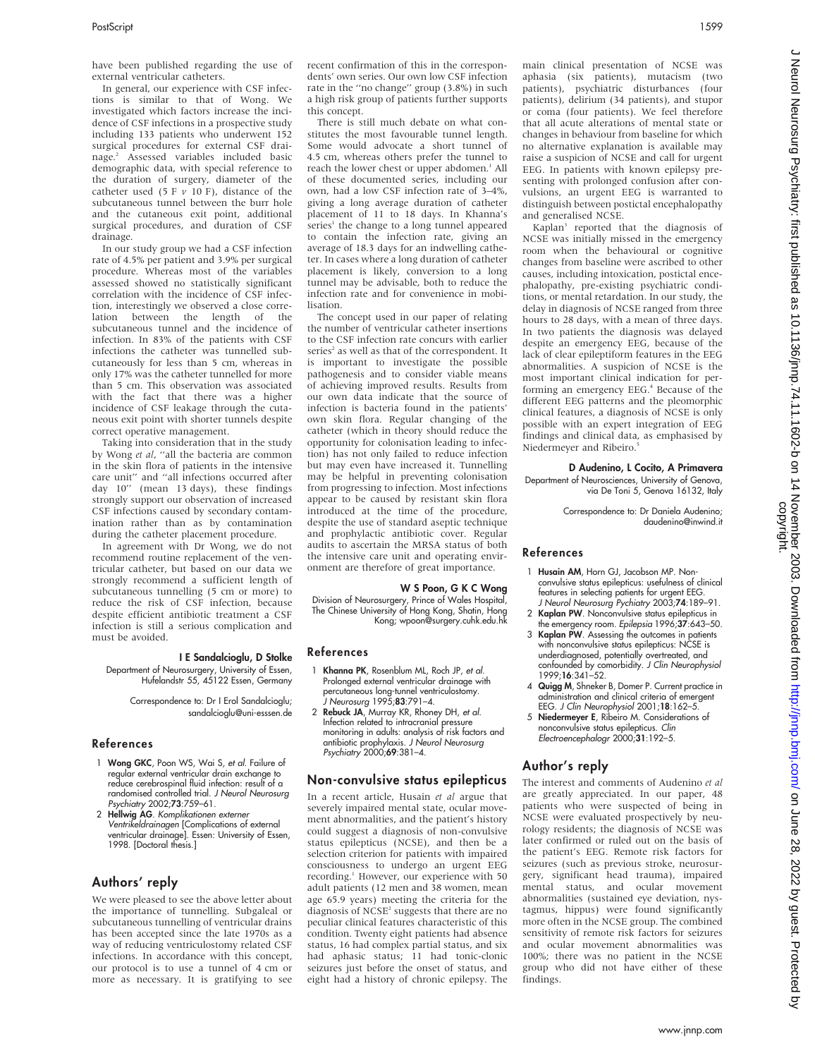In general, our experience with CSF infections is similar to that of Wong. We investigated which factors increase the incidence of CSF infections in a prospective study including 133 patients who underwent 152 surgical procedures for external CSF drainage.2 Assessed variables included basic demographic data, with special reference to the duration of surgery, diameter of the catheter used (5 F  $v$  10 F), distance of the subcutaneous tunnel between the burr hole and the cutaneous exit point, additional surgical procedures, and duration of CSF drainage.

In our study group we had a CSF infection rate of 4.5% per patient and 3.9% per surgical procedure. Whereas most of the variables assessed showed no statistically significant correlation with the incidence of CSF infection, interestingly we observed a close correlation between the length of the subcutaneous tunnel and the incidence of infection. In 83% of the patients with CSF infections the catheter was tunnelled subcutaneously for less than 5 cm, whereas in only 17% was the catheter tunnelled for more than 5 cm. This observation was associated with the fact that there was a higher incidence of CSF leakage through the cutaneous exit point with shorter tunnels despite correct operative management.

Taking into consideration that in the study by Wong et al, ''all the bacteria are common in the skin flora of patients in the intensive care unit'' and ''all infections occurred after day 10'' (mean 13 days), these findings strongly support our observation of increased CSF infections caused by secondary contamination rather than as by contamination during the catheter placement procedure.

In agreement with Dr Wong, we do not recommend routine replacement of the ventricular catheter, but based on our data we strongly recommend a sufficient length of subcutaneous tunnelling (5 cm or more) to reduce the risk of CSF infection, because despite efficient antibiotic treatment a CSF infection is still a serious complication and must be avoided.

I E Sandalcioglu, D Stolke Department of Neurosurgery, University of Essen, Hufelandstr 55, 45122 Essen, Germany

> Correspondence to: Dr I Erol Sandalcioglu; sandalcioglu@uni-esssen.de

#### References

- 1 Wong GKC, Poon WS, Wai S, et al. Failure of regular external ventricular drain exchange to reduce cerebrospinal fluid infection: result of a randomised controlled trial. J Neurol Neurosurg Psychiatry 2002;73:759-61.
- 2 Hellwig AG. Komplikationen externer Ventrikeldrainagen [Complications of external ventricular drainage]. Essen: University of Essen, 1998. [Doctoral thesis.]

## Authors' reply

We were pleased to see the above letter about the importance of tunnelling. Subgaleal or subcutaneous tunnelling of ventricular drains has been accepted since the late 1970s as a way of reducing ventriculostomy related CSF infections. In accordance with this concept, our protocol is to use a tunnel of 4 cm or more as necessary. It is gratifying to see recent confirmation of this in the correspondents' own series. Our own low CSF infection rate in the ''no change'' group (3.8%) in such a high risk group of patients further supports this concept.

There is still much debate on what constitutes the most favourable tunnel length. Some would advocate a short tunnel of 4.5 cm, whereas others prefer the tunnel to reach the lower chest or upper abdomen.<sup>1</sup> All of these documented series, including our own, had a low CSF infection rate of 3–4%, giving a long average duration of catheter placement of 11 to 18 days. In Khanna's series<sup>1</sup> the change to a long tunnel appeared to contain the infection rate, giving an average of 18.3 days for an indwelling catheter. In cases where a long duration of catheter placement is likely, conversion to a long tunnel may be advisable, both to reduce the infection rate and for convenience in mobilisation.

The concept used in our paper of relating the number of ventricular catheter insertions to the CSF infection rate concurs with earlier series<sup>2</sup> as well as that of the correspondent. It is important to investigate the possible pathogenesis and to consider viable means of achieving improved results. Results from our own data indicate that the source of infection is bacteria found in the patients' own skin flora. Regular changing of the catheter (which in theory should reduce the opportunity for colonisation leading to infection) has not only failed to reduce infection but may even have increased it. Tunnelling may be helpful in preventing colonisation from progressing to infection. Most infections appear to be caused by resistant skin flora introduced at the time of the procedure, despite the use of standard aseptic technique and prophylactic antibiotic cover. Regular audits to ascertain the MRSA status of both the intensive care unit and operating environment are therefore of great importance.

#### W S Poon, G K C Wong

Division of Neurosurgery, Prince of Wales Hospital, The Chinese University of Hong Kong, Shatin, Hong Kong; wpoon@surgery.cuhk.edu.hk

#### References

- 1 Khanna PK, Rosenblum ML, Roch JP, et al. Prolonged external ventricular drainage with percutaneous long-tunnel ventriculostomy. J Neurosurg 1995;83:791–4.
- 2 Rebuck JA, Murray KR, Rhoney DH, et al. Infection related to intracranial pressure monitoring in adults: analysis of risk factors and antibiotic prophylaxis. J Neurol Neurosurg Psychiatry 2000;69:381–4.

## Non-convulsive status epilepticus

In a recent article, Husain et al argue that severely impaired mental state, ocular movement abnormalities, and the patient's history could suggest a diagnosis of non-convulsive status epilepticus (NCSE), and then be a selection criterion for patients with impaired consciousness to undergo an urgent EEG recording.<sup>1</sup> However, our experience with 50 adult patients (12 men and 38 women, mean age 65.9 years) meeting the criteria for the diagnosis of NCSE<sup>2</sup> suggests that there are no peculiar clinical features characteristic of this condition. Twenty eight patients had absence status, 16 had complex partial status, and six had aphasic status; 11 had tonic-clonic seizures just before the onset of status, and eight had a history of chronic epilepsy. The

main clinical presentation of NCSE was aphasia (six patients), mutacism (two patients), psychiatric disturbances (four patients), delirium (34 patients), and stupor or coma (four patients). We feel therefore that all acute alterations of mental state or changes in behaviour from baseline for which no alternative explanation is available may raise a suspicion of NCSE and call for urgent EEG. In patients with known epilepsy presenting with prolonged confusion after convulsions, an urgent EEG is warranted to distinguish between postictal encephalopathy and generalised NCSE.

Kaplan<sup>3</sup> reported that the diagnosis of NCSE was initially missed in the emergency room when the behavioural or cognitive changes from baseline were ascribed to other causes, including intoxication, postictal encephalopathy, pre-existing psychiatric conditions, or mental retardation. In our study, the delay in diagnosis of NCSE ranged from three hours to 28 days, with a mean of three days. In two patients the diagnosis was delayed despite an emergency EEG, because of the lack of clear epileptiform features in the EEG abnormalities. A suspicion of NCSE is the most important clinical indication for performing an emergency EEG.4 Because of the different EEG patterns and the pleomorphic clinical features, a diagnosis of NCSE is only possible with an expert integration of EEG findings and clinical data, as emphasised by Niedermeyer and Ribeiro.

#### D Audenino, L Cocito, A Primavera Department of Neurosciences, University of Genova,

via De Toni 5, Genova 16132, Italy

Correspondence to: Dr Daniela Audenino; daudenino@inwind.it

#### References

- 1 Husain AM, Horn GJ, Jacobson MP, Nonconvulsive status epilepticus: usefulness of clinical features in selecting patients for urgent EEG. J Neurol Neurosurg Pychiatry 2003;74:189-91.
- 2 Kaplan PW. Nonconvulsive status epilepticus in the emergency room. *Epilepsia* 1996;**37**:643–50.
- 3 Kaplan PW. Assessing the outcomes in patients with nonconvulsive status epilepticus: NCSE is underdiagnosed, potentially overtreated, and confounded by comorbidity. J Clin Neurophysiol  $1999 \cdot 16.341 - 52$
- 4 Quigg M, Shneker B, Domer P. Current practice in administration and clinical criteria of emergent EEG. J Clin Neurophysiol 2001;18:162–5.
- 5 Niedermeyer E, Ribeiro M. Considerations of nonconvulsive status epilepticus. Clin Electroencephalogr 2000;31:192–5.

## Author's reply

The interest and comments of Audenino et al are greatly appreciated. In our paper, 48 patients who were suspected of being in NCSE were evaluated prospectively by neurology residents; the diagnosis of NCSE was later confirmed or ruled out on the basis of the patient's EEG. Remote risk factors for seizures (such as previous stroke, neurosurgery, significant head trauma), impaired mental status, and ocular movement abnormalities (sustained eye deviation, nystagmus, hippus) were found significantly more often in the NCSE group. The combined sensitivity of remote risk factors for seizures and ocular movement abnormalities was 100%; there was no patient in the NCSE group who did not have either of these findings.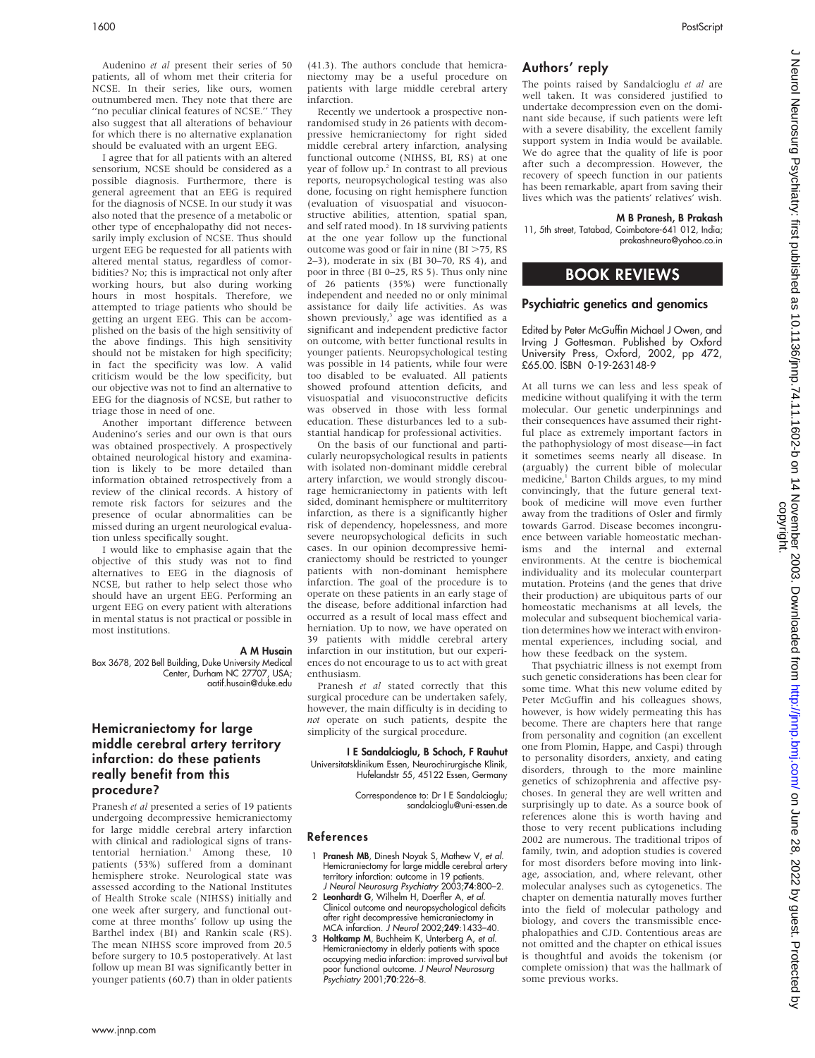Audenino et al present their series of 50 patients, all of whom met their criteria for NCSE. In their series, like ours, women outnumbered men. They note that there are ''no peculiar clinical features of NCSE.'' They also suggest that all alterations of behaviour for which there is no alternative explanation should be evaluated with an urgent EEG.

I agree that for all patients with an altered sensorium, NCSE should be considered as a possible diagnosis. Furthermore, there is general agreement that an EEG is required for the diagnosis of NCSE. In our study it was also noted that the presence of a metabolic or other type of encephalopathy did not necessarily imply exclusion of NCSE. Thus should urgent EEG be requested for all patients with altered mental status, regardless of comorbidities? No; this is impractical not only after working hours, but also during working hours in most hospitals. Therefore, we attempted to triage patients who should be getting an urgent EEG. This can be accomplished on the basis of the high sensitivity of the above findings. This high sensitivity should not be mistaken for high specificity; in fact the specificity was low. A valid criticism would be the low specificity, but our objective was not to find an alternative to EEG for the diagnosis of NCSE, but rather to triage those in need of one.

Another important difference between Audenino's series and our own is that ours was obtained prospectively. A prospectively obtained neurological history and examination is likely to be more detailed than information obtained retrospectively from a review of the clinical records. A history of remote risk factors for seizures and the presence of ocular abnormalities can be missed during an urgent neurological evaluation unless specifically sought.

I would like to emphasise again that the objective of this study was not to find alternatives to EEG in the diagnosis of NCSE, but rather to help select those who should have an urgent EEG. Performing an urgent EEG on every patient with alterations in mental status is not practical or possible in most institutions.

#### A M Husain

Box 3678, 202 Bell Building, Duke University Medical Center, Durham NC 27707, USA; aatif.husain@duke.edu

## Hemicraniectomy for large middle cerebral artery territory infarction: do these patients really benefit from this procedure?

Pranesh et al presented a series of 19 patients undergoing decompressive hemicraniectomy for large middle cerebral artery infarction with clinical and radiological signs of transtentorial herniation.<sup>1</sup> Among these, 10 patients (53%) suffered from a dominant hemisphere stroke. Neurological state was assessed according to the National Institutes of Health Stroke scale (NIHSS) initially and one week after surgery, and functional outcome at three months' follow up using the Barthel index (BI) and Rankin scale (RS). The mean NIHSS score improved from 20.5 before surgery to 10.5 postoperatively. At last follow up mean BI was significantly better in younger patients (60.7) than in older patients (41.3). The authors conclude that hemicraniectomy may be a useful procedure on patients with large middle cerebral artery infarction.

Recently we undertook a prospective nonrandomised study in 26 patients with decompressive hemicraniectomy for right sided middle cerebral artery infarction, analysing functional outcome (NIHSS, BI, RS) at one year of follow up.<sup>2</sup> In contrast to all previous reports, neuropsychological testing was also done, focusing on right hemisphere function (evaluation of visuospatial and visuoconstructive abilities, attention, spatial span, and self rated mood). In 18 surviving patients at the one year follow up the functional outcome was good or fair in nine (BI  $>$  75, RS 2–3), moderate in six (BI 30–70, RS 4), and poor in three (BI 0–25, RS 5). Thus only nine of 26 patients (35%) were functionally independent and needed no or only minimal assistance for daily life activities. As was shown previously,<sup>3</sup> age was identified as a significant and independent predictive factor on outcome, with better functional results in younger patients. Neuropsychological testing was possible in 14 patients, while four were too disabled to be evaluated. All patients showed profound attention deficits, and visuospatial and visuoconstructive deficits was observed in those with less formal education. These disturbances led to a substantial handicap for professional activities.

On the basis of our functional and particularly neuropsychological results in patients with isolated non-dominant middle cerebral artery infarction, we would strongly discourage hemicraniectomy in patients with left sided, dominant hemisphere or multiterritory infarction, as there is a significantly higher risk of dependency, hopelessness, and more severe neuropsychological deficits in such cases. In our opinion decompressive hemicraniectomy should be restricted to younger patients with non-dominant hemisphere infarction. The goal of the procedure is to operate on these patients in an early stage of the disease, before additional infarction had occurred as a result of local mass effect and herniation. Up to now, we have operated on 39 patients with middle cerebral artery infarction in our institution, but our experiences do not encourage to us to act with great enthusiasm.

Pranesh et al stated correctly that this surgical procedure can be undertaken safely, however, the main difficulty is in deciding to not operate on such patients, despite the simplicity of the surgical procedure.

I E Sandalcioglu, B Schoch, F Rauhut Universitatsklinikum Essen, Neurochirurgische Klinik, Hufelandstr 55, 45122 Essen, Germany

> Correspondence to: Dr I E Sandalcioglu; sandalcioglu@uni-essen.de

#### References

- 1 Pranesh MB, Dinesh Noyak S, Mathew V, et al. Hemicraniectomy for large middle cerebral artery territory infarction: outcome in 19 patients. J Neurol Neurosurg Psychiatry 2003;74:800–2.
- 2 Leonhardt G, Wilhelm H, Doerfler A, et al. Clinical outcome and neuropsychological deficits after right decompressive hemicraniectomy in MCA infarction. J Neurol 2002;249:1433–40.
- 3 Holtkamp M, Buchheim K, Unterberg A, et al. Hemicraniectomy in elderly patients with space occupying media infarction: improved survival but poor functional outcome. J Neurol Neurosurg Psychiatry 2001;70:226–8.

#### Authors' reply

The points raised by Sandalcioglu et al are well taken. It was considered justified to undertake decompression even on the dominant side because, if such patients were left with a severe disability, the excellent family support system in India would be available. We do agree that the quality of life is poor after such a decompression. However, the recovery of speech function in our patients has been remarkable, apart from saving their lives which was the patients' relatives' wish.

#### M B Pranesh, B Prakash

11, 5th street, Tatabad, Coimbatore-641 012, India; prakashneuro@yahoo.co.in

# BOOK REVIEWS

## Psychiatric genetics and genomics

Edited by Peter McGuffin Michael J Owen, and Irving J Gottesman. Published by Oxford University Press, Oxford, 2002, pp 472, £65.00. ISBN 0-19-263148-9

At all turns we can less and less speak of medicine without qualifying it with the term molecular. Our genetic underpinnings and their consequences have assumed their rightful place as extremely important factors in the pathophysiology of most disease—in fact it sometimes seems nearly all disease. In (arguably) the current bible of molecular medicine,<sup>1</sup> Barton Childs argues, to my mind convincingly, that the future general textbook of medicine will move even further away from the traditions of Osler and firmly towards Garrod. Disease becomes incongruence between variable homeostatic mechanisms and the internal and external environments. At the centre is biochemical individuality and its molecular counterpart mutation. Proteins (and the genes that drive their production) are ubiquitous parts of our homeostatic mechanisms at all levels, the molecular and subsequent biochemical variation determines how we interact with environmental experiences, including social, and how these feedback on the system.

That psychiatric illness is not exempt from such genetic considerations has been clear for some time. What this new volume edited by Peter McGuffin and his colleagues shows, however, is how widely permeating this has become. There are chapters here that range from personality and cognition (an excellent one from Plomin, Happe, and Caspi) through to personality disorders, anxiety, and eating disorders, through to the more mainline genetics of schizophrenia and affective psychoses. In general they are well written and surprisingly up to date. As a source book of references alone this is worth having and those to very recent publications including 2002 are numerous. The traditional tripos of family, twin, and adoption studies is covered for most disorders before moving into linkage, association, and, where relevant, other molecular analyses such as cytogenetics. The chapter on dementia naturally moves further into the field of molecular pathology and biology, and covers the transmissible encephalopathies and CJD. Contentious areas are not omitted and the chapter on ethical issues is thoughtful and avoids the tokenism (or complete omission) that was the hallmark of some previous works.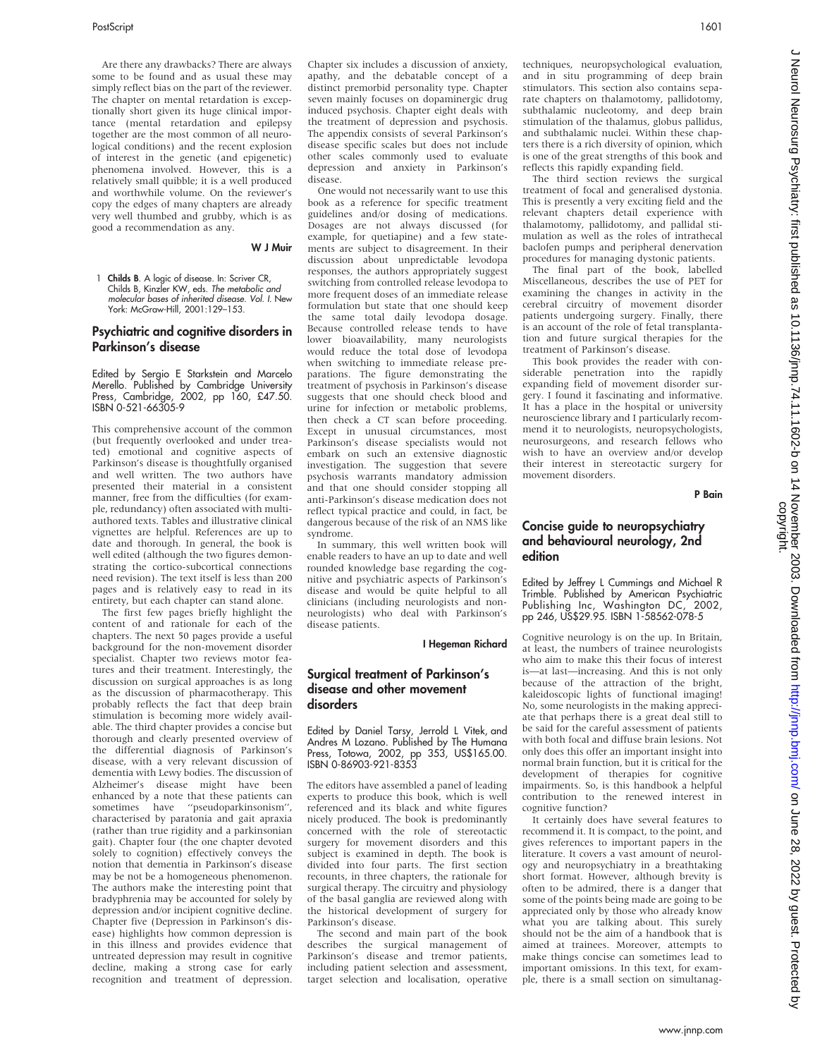Are there any drawbacks? There are always some to be found and as usual these may simply reflect bias on the part of the reviewer. The chapter on mental retardation is exceptionally short given its huge clinical importance (mental retardation and epilepsy together are the most common of all neurological conditions) and the recent explosion of interest in the genetic (and epigenetic) phenomena involved. However, this is a relatively small quibble; it is a well produced and worthwhile volume. On the reviewer's copy the edges of many chapters are already very well thumbed and grubby, which is as good a recommendation as any.

W J Muir

1 **Childs B**. A logic of disease. In: Scriver CR, Childs B, Kinzler KW, eds. The metabolic and molecular bases of inherited disease. Vol. I. New York: McGraw-Hill, 2001:129–153.

## Psychiatric and cognitive disorders in Parkinson's disease

Edited by Sergio E Starkstein and Marcelo Merello. Published by Cambridge University Press, Cambridge, 2002, pp 160, £47.50. ISBN 0-521-66305-9

This comprehensive account of the common (but frequently overlooked and under treated) emotional and cognitive aspects of Parkinson's disease is thoughtfully organised and well written. The two authors have presented their material in a consistent manner, free from the difficulties (for example, redundancy) often associated with multiauthored texts. Tables and illustrative clinical vignettes are helpful. References are up to date and thorough. In general, the book is well edited (although the two figures demonstrating the cortico-subcortical connections need revision). The text itself is less than 200 pages and is relatively easy to read in its entirety, but each chapter can stand alone.

The first few pages briefly highlight the content of and rationale for each of the chapters. The next 50 pages provide a useful background for the non-movement disorder specialist. Chapter two reviews motor features and their treatment. Interestingly, the discussion on surgical approaches is as long as the discussion of pharmacotherapy. This probably reflects the fact that deep brain stimulation is becoming more widely available. The third chapter provides a concise but thorough and clearly presented overview of the differential diagnosis of Parkinson's disease, with a very relevant discussion of dementia with Lewy bodies. The discussion of Alzheimer's disease might have been enhanced by a note that these patients can sometimes have "pseudoparkinsonism", characterised by paratonia and gait apraxia (rather than true rigidity and a parkinsonian gait). Chapter four (the one chapter devoted solely to cognition) effectively conveys the notion that dementia in Parkinson's disease may be not be a homogeneous phenomenon. The authors make the interesting point that bradyphrenia may be accounted for solely by depression and/or incipient cognitive decline. Chapter five (Depression in Parkinson's disease) highlights how common depression is in this illness and provides evidence that untreated depression may result in cognitive decline, making a strong case for early recognition and treatment of depression. Chapter six includes a discussion of anxiety, apathy, and the debatable concept of a distinct premorbid personality type. Chapter seven mainly focuses on dopaminergic drug induced psychosis. Chapter eight deals with the treatment of depression and psychosis. The appendix consists of several Parkinson's disease specific scales but does not include other scales commonly used to evaluate depression and anxiety in Parkinson's disease.

Because controlled release tends to have lower bioavailability, many neurologists would reduce the total dose of levodopa when switching to immediate release preparations. The figure demonstrating the treatment of psychosis in Parkinson's disease suggests that one should check blood and urine for infection or metabolic problems, then check a CT scan before proceeding. Except in unusual circumstances, most Parkinson's disease specialists would not embark on such an extensive diagnostic investigation. The suggestion that severe psychosis warrants mandatory admission and that one should consider stopping all anti-Parkinson's disease medication does not reflect typical practice and could, in fact, be dangerous because of the risk of an NMS like syndrome. One would not necessarily want to use this book as a reference for specific treatment guidelines and/or dosing of medications. Dosages are not always discussed (for example, for quetiapine) and a few statements are subject to disagreement. In their discussion about unpredictable levodopa responses, the authors appropriately suggest switching from controlled release levodopa to more frequent doses of an immediate release formulation but state that one should keep the same total daily levodopa dosage.

In summary, this well written book will enable readers to have an up to date and well rounded knowledge base regarding the cognitive and psychiatric aspects of Parkinson's disease and would be quite helpful to all clinicians (including neurologists and nonneurologists) who deal with Parkinson's disease patients.

#### I Hegeman Richard

## Surgical treatment of Parkinson's disease and other movement disorders

Edited by Daniel Tarsy, Jerrold L Vitek, and Andres M Lozano. Published by The Humana Press, Totowa, 2002, pp 353, US\$165.00. ISBN 0-86903-921-8353

The editors have assembled a panel of leading experts to produce this book, which is well referenced and its black and white figures nicely produced. The book is predominantly concerned with the role of stereotactic surgery for movement disorders and this subject is examined in depth. The book is divided into four parts. The first section recounts, in three chapters, the rationale for surgical therapy. The circuitry and physiology of the basal ganglia are reviewed along with the historical development of surgery for Parkinson's disease.

The second and main part of the book describes the surgical management of Parkinson's disease and tremor patients, including patient selection and assessment, target selection and localisation, operative

techniques, neuropsychological evaluation, and in situ programming of deep brain stimulators. This section also contains separate chapters on thalamotomy, pallidotomy, subthalamic nucleotomy, and deep brain stimulation of the thalamus, globus pallidus, and subthalamic nuclei. Within these chapters there is a rich diversity of opinion, which is one of the great strengths of this book and reflects this rapidly expanding field.

The third section reviews the surgical treatment of focal and generalised dystonia. This is presently a very exciting field and the relevant chapters detail experience with thalamotomy, pallidotomy, and pallidal stimulation as well as the roles of intrathecal baclofen pumps and peripheral denervation procedures for managing dystonic patients.

The final part of the book, labelled Miscellaneous, describes the use of PET for examining the changes in activity in the cerebral circuitry of movement disorder patients undergoing surgery. Finally, there is an account of the role of fetal transplantation and future surgical therapies for the treatment of Parkinson's disease.

This book provides the reader with considerable penetration into the rapidly expanding field of movement disorder surgery. I found it fascinating and informative. It has a place in the hospital or university neuroscience library and I particularly recommend it to neurologists, neuropsychologists, neurosurgeons, and research fellows who wish to have an overview and/or develop their interest in stereotactic surgery for movement disorders.

P Bain

## Concise guide to neuropsychiatry and behavioural neurology, 2nd edition

Edited by Jeffrey L Cummings and Michael R Trimble. Published by American Psychiatric Publishing Inc, Washington DC, 2002, pp 246, US\$29.95. ISBN 1-58562-078-5

Cognitive neurology is on the up. In Britain, at least, the numbers of trainee neurologists who aim to make this their focus of interest is—at last—increasing. And this is not only because of the attraction of the bright, kaleidoscopic lights of functional imaging! No, some neurologists in the making appreciate that perhaps there is a great deal still to be said for the careful assessment of patients with both focal and diffuse brain lesions. Not only does this offer an important insight into normal brain function, but it is critical for the development of therapies for cognitive impairments. So, is this handbook a helpful contribution to the renewed interest in cognitive function?

It certainly does have several features to recommend it. It is compact, to the point, and gives references to important papers in the literature. It covers a vast amount of neurology and neuropsychiatry in a breathtaking short format. However, although brevity is often to be admired, there is a danger that some of the points being made are going to be appreciated only by those who already know what you are talking about. This surely should not be the aim of a handbook that is aimed at trainees. Moreover, attempts to make things concise can sometimes lead to important omissions. In this text, for example, there is a small section on simultanag